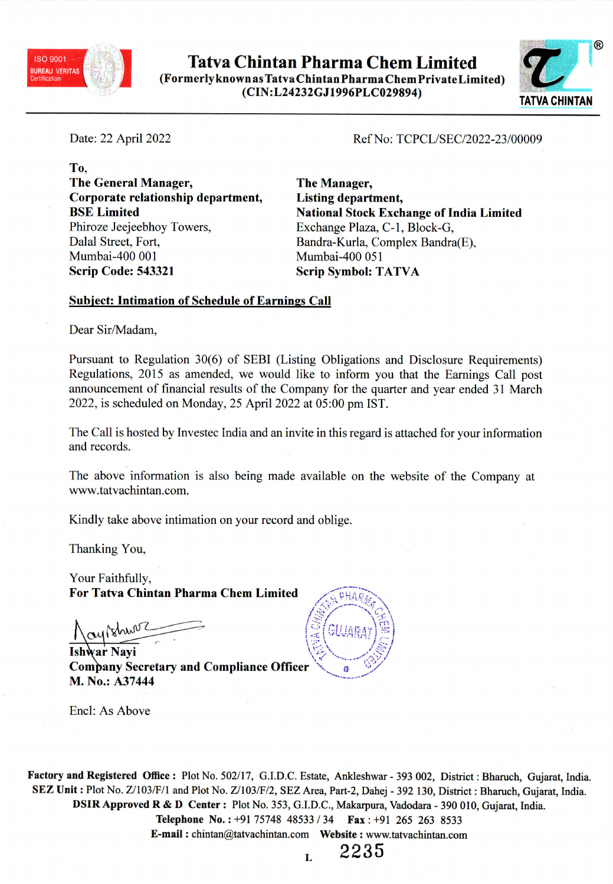

Tatva Chintan Pharma Chem Limited (Formerly known as Tatva Chin tan Pharma Chem Private Limited) (CIN:L24232GJ1996PLC029894) TATVA CHINTAN



Date: <sup>22</sup> April <sup>2022</sup>

Ref No: TCPCL/SEC/2022-23/00009

To, The General Manager, Corporate relationship department, BSE Limited Phiroze Jeejeebhoy Towers, Dalal Street, Fort, Mumbai-400 001 Scrip Code: <sup>543321</sup>

The Manager, Listing department, National Stock Exchange of India Limited Exchange Plaza, C-1, Block-G, Bandra-Kurla, Complex Bandra(E), Mumbai-400 051 Scrip Symbol: TATVA

## Subject: Intimation of Schedule of Earnings Call

Dear Sir/Madam,

Pursuant to Regulation 30(6) of SEBI (Listing Obligations and Disclosure Requirements) Regulations, <sup>2015</sup> as amended, we would like to inform you that the Earnings Call pos<sup>t</sup> announcement of financial results of the Company for the quarter and year ended <sup>31</sup> March 2022, is scheduled on Monday, <sup>25</sup> April <sup>2022</sup> at 05:00 pm 1ST.

The Call is hosted by Investec India and an invite in this regar<sup>d</sup> is attached for your information and records.

The above information is also being made available on the website of the Company at www .tatvachintan.com.

Kindly take above intimation on your record and oblige.

Thanking You,

Your Faithfully, For Tatva Chintan Pharma Chem Limited

ar Nayi  $\sqrt{3}$ Company Secretary and Compliance Officer M. No.: A37444



Encl: As Above

Factory and Registered Office : Plot No. 502/17, G.I.D.C. Estate, Ankleshwar - <sup>393</sup> 002, District : Bharuch, Gujarat, India. SEZ Unit : Plot No. Z/103/F/l and Plot No. Z/103/F/2, SEZ Area, Part-2, Dahej - <sup>392</sup> 130, District : Bharuch, Gujarat, India. DSIR Approved <sup>R</sup> & <sup>D</sup> Center: Plot No. 353, G.I.D.C., Makarpura, Vadodara - <sup>390</sup> 010, Gujarat, India. Telephone No.: +91 75748 48533 / 34 Fax: +91 265 263 8533 E-mail: chintan@tatvachintan.com Website: www.tatvachintan.com

L

2235